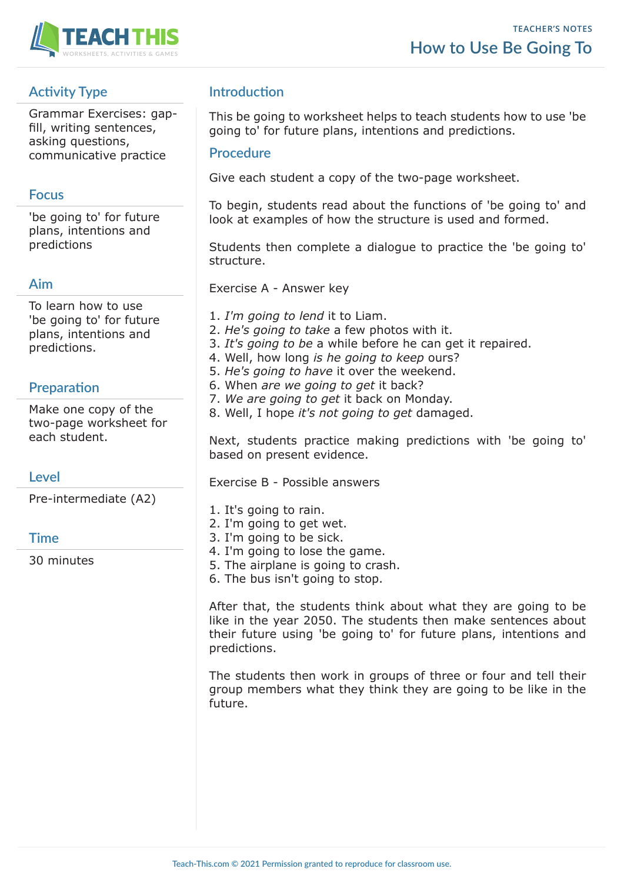

# **Activity Type**

Grammar Exercises: gapfill, writing sentences, asking questions, communicative practice

## **Focus**

'be going to' for future plans, intentions and predictions

## **Aim**

To learn how to use 'be going to' for future plans, intentions and predictions.

## **Preparation**

Make one copy of the two-page worksheet for each student.

## **Level**

Pre-intermediate (A2)

### **Time**

30 minutes

## **Introduction**

This be going to worksheet helps to teach students how to use 'be going to' for future plans, intentions and predictions.

### **Procedure**

Give each student a copy of the two-page worksheet.

To begin, students read about the functions of 'be going to' and look at examples of how the structure is used and formed.

Students then complete a dialogue to practice the 'be going to' structure.

Exercise A - Answer key

- 1. *I'm going to lend* it to Liam.
- 2. *He's going to take* a few photos with it.
- 3. *It's going to be* a while before he can get it repaired.
- 4. Well, how long *is he going to keep* ours?
- 5. *He's going to have* it over the weekend.
- 6. When *are we going to get* it back?
- 7. *We are going to get* it back on Monday.
- 8. Well, I hope *it's not going to get* damaged.

Next, students practice making predictions with 'be going to' based on present evidence.

Exercise B - Possible answers

- 1. It's going to rain.
- 2. I'm going to get wet.
- 3. I'm going to be sick.
- 4. I'm going to lose the game.
- 5. The airplane is going to crash.
- 6. The bus isn't going to stop.

After that, the students think about what they are going to be like in the year 2050. The students then make sentences about their future using 'be going to' for future plans, intentions and predictions.

The students then work in groups of three or four and tell their group members what they think they are going to be like in the future.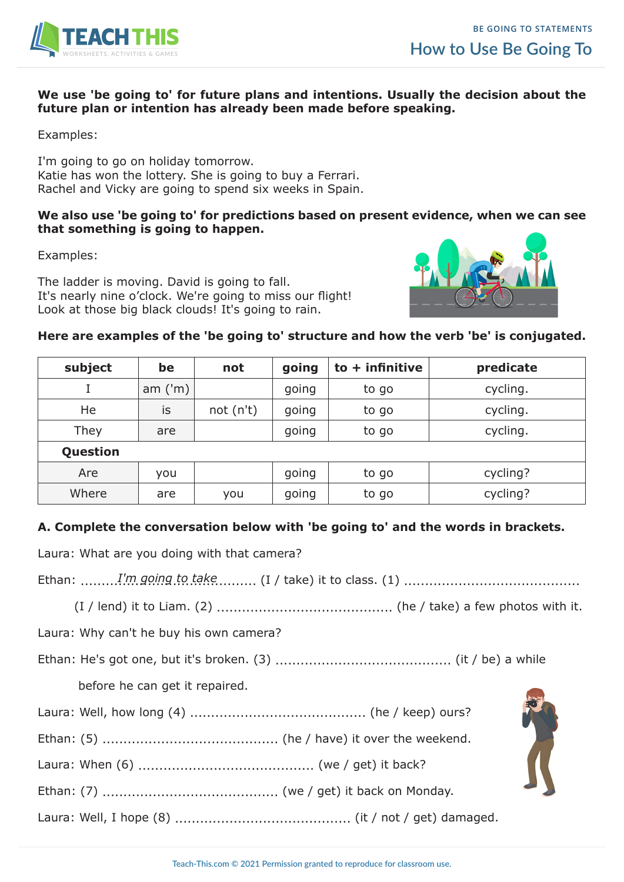

#### **We use 'be going to' for future plans and intentions. Usually the decision about the future plan or intention has already been made before speaking.**

Examples:

I'm going to go on holiday tomorrow. Katie has won the lottery. She is going to buy a Ferrari. Rachel and Vicky are going to spend six weeks in Spain.

#### **We also use 'be going to' for predictions based on present evidence, when we can see that something is going to happen.**

Examples:

The ladder is moving. David is going to fall. It's nearly nine o'clock. We're going to miss our flight! Look at those big black clouds! It's going to rain.



### **Here are examples of the 'be going to' structure and how the verb 'be' is conjugated.**

| subject  | be        | not       | going | $to +$ infinitive | predicate |
|----------|-----------|-----------|-------|-------------------|-----------|
|          | am $('m)$ |           | going | to go             | cycling.  |
| He       | is        | not (n't) | going | to go             | cycling.  |
| They     | are       |           | going | to go             | cycling.  |
| Question |           |           |       |                   |           |
| Are      | you       |           | going | to go             | cycling?  |
| Where    | are       | you       | going | to go             | cycling?  |

### **A. Complete the conversation below with 'be going to' and the words in brackets.**

Laura: What are you doing with that camera?

Ethan: .......................................... (I / take) it to class. (1) .......................................... *I'm going to take*

(I / lend) it to Liam. (2) .......................................... (he / take) a few photos with it.

Laura: Why can't he buy his own camera?

Ethan: He's got one, but it's broken. (3) .......................................... (it / be) a while

before he can get it repaired.